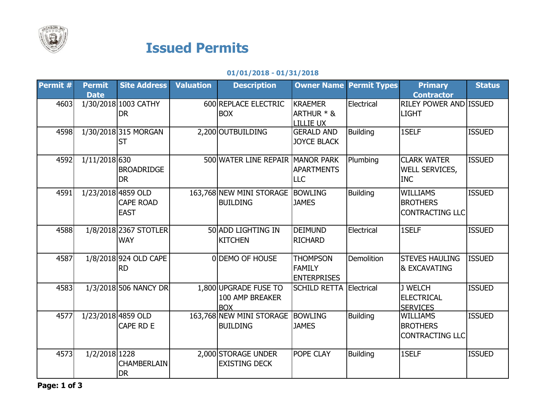

## Issued Permits

## 01/01/2018 - 01/31/2018

| 1/30/2018 1003 CATHY<br>600 REPLACE ELECTRIC<br><b>KRAEMER</b><br>Electrical<br><b>RILEY POWER AND ISSUED</b><br>4603<br>ARTHUR * &<br><b>DR</b><br><b>BOX</b><br><b>LIGHT</b><br><b>LILLIE UX</b><br><b>ISSUED</b><br>4598<br>1/30/2018 315 MORGAN<br><b>Building</b><br>1SELF<br>2,200 OUTBUILDING<br><b>GERALD AND</b><br><b>JOYCE BLACK</b><br><b>ST</b><br><b>ISSUED</b><br>4592<br>1/11/2018 630<br>500 WATER LINE REPAIR<br><b>MANOR PARK</b><br><b>CLARK WATER</b><br>Plumbing<br><b>BROADRIDGE</b><br><b>APARTMENTS</b><br><b>WELL SERVICES,</b><br><b>DR</b><br><b>LLC</b><br><b>INC</b><br>163,768 NEW MINI STORAGE<br>1/23/2018 4859 OLD<br><b>BOWLING</b><br><b>Building</b><br><b>ISSUED</b><br>4591<br><b>WILLIAMS</b><br><b>CAPE ROAD</b><br><b>BUILDING</b><br><b>JAMES</b><br><b>BROTHERS</b><br><b>EAST</b><br><b>CONTRACTING LLC</b><br>4588<br>1/8/2018 2367 STOTLER<br>50 ADD LIGHTING IN<br><b>ISSUED</b><br><b>DEIMUND</b><br>Electrical<br>1SELF<br><b>WAY</b><br><b>KITCHEN</b><br><b>RICHARD</b><br>4587<br>1/8/2018 924 OLD CAPE<br>Demolition<br><b>STEVES HAULING</b><br><b>ISSUED</b><br>0 DEMO OF HOUSE<br><b>THOMPSON</b><br><b>FAMILY</b><br><b>&amp; EXCAVATING</b><br><b>RD</b><br><b>ENTERPRISES</b><br><b>ISSUED</b><br>1,800 UPGRADE FUSE TO<br>J WELCH<br>4583<br>1/3/2018 506 NANCY DR<br><b>SCHILD RETTA</b><br>Electrical<br>100 AMP BREAKER<br><b>ELECTRICAL</b><br><b>BOX</b><br><b>SERVICES</b><br><b>Building</b><br><b>ISSUED</b><br>4577<br>1/23/2018 4859 OLD<br>163,768 NEW MINI STORAGE<br><b>BOWLING</b><br><b>WILLIAMS</b><br><b>CAPE RD E</b><br><b>BROTHERS</b><br><b>BUILDING</b><br><b>JAMES</b><br><b>CONTRACTING LLC</b><br>4573<br>1/2/2018 1228<br>2,000 STORAGE UNDER<br>POPE CLAY<br>1SELF<br><b>ISSUED</b><br><b>Building</b><br><b>CHAMBERLAIN</b><br><b>EXISTING DECK</b> | Permit # | <b>Permit</b> | <b>Site Address</b> | <b>Valuation</b> | <b>Description</b> | <b>Owner Name Permit Types</b> | <b>Primary</b>    | <b>Status</b> |
|----------------------------------------------------------------------------------------------------------------------------------------------------------------------------------------------------------------------------------------------------------------------------------------------------------------------------------------------------------------------------------------------------------------------------------------------------------------------------------------------------------------------------------------------------------------------------------------------------------------------------------------------------------------------------------------------------------------------------------------------------------------------------------------------------------------------------------------------------------------------------------------------------------------------------------------------------------------------------------------------------------------------------------------------------------------------------------------------------------------------------------------------------------------------------------------------------------------------------------------------------------------------------------------------------------------------------------------------------------------------------------------------------------------------------------------------------------------------------------------------------------------------------------------------------------------------------------------------------------------------------------------------------------------------------------------------------------------------------------------------------------------------------------------------------------------------------------------------|----------|---------------|---------------------|------------------|--------------------|--------------------------------|-------------------|---------------|
|                                                                                                                                                                                                                                                                                                                                                                                                                                                                                                                                                                                                                                                                                                                                                                                                                                                                                                                                                                                                                                                                                                                                                                                                                                                                                                                                                                                                                                                                                                                                                                                                                                                                                                                                                                                                                                              |          | <b>Date</b>   |                     |                  |                    |                                | <b>Contractor</b> |               |
|                                                                                                                                                                                                                                                                                                                                                                                                                                                                                                                                                                                                                                                                                                                                                                                                                                                                                                                                                                                                                                                                                                                                                                                                                                                                                                                                                                                                                                                                                                                                                                                                                                                                                                                                                                                                                                              |          |               |                     |                  |                    |                                |                   |               |
|                                                                                                                                                                                                                                                                                                                                                                                                                                                                                                                                                                                                                                                                                                                                                                                                                                                                                                                                                                                                                                                                                                                                                                                                                                                                                                                                                                                                                                                                                                                                                                                                                                                                                                                                                                                                                                              |          |               |                     |                  |                    |                                |                   |               |
|                                                                                                                                                                                                                                                                                                                                                                                                                                                                                                                                                                                                                                                                                                                                                                                                                                                                                                                                                                                                                                                                                                                                                                                                                                                                                                                                                                                                                                                                                                                                                                                                                                                                                                                                                                                                                                              |          |               |                     |                  |                    |                                |                   |               |
|                                                                                                                                                                                                                                                                                                                                                                                                                                                                                                                                                                                                                                                                                                                                                                                                                                                                                                                                                                                                                                                                                                                                                                                                                                                                                                                                                                                                                                                                                                                                                                                                                                                                                                                                                                                                                                              |          |               |                     |                  |                    |                                |                   |               |
|                                                                                                                                                                                                                                                                                                                                                                                                                                                                                                                                                                                                                                                                                                                                                                                                                                                                                                                                                                                                                                                                                                                                                                                                                                                                                                                                                                                                                                                                                                                                                                                                                                                                                                                                                                                                                                              |          |               |                     |                  |                    |                                |                   |               |
|                                                                                                                                                                                                                                                                                                                                                                                                                                                                                                                                                                                                                                                                                                                                                                                                                                                                                                                                                                                                                                                                                                                                                                                                                                                                                                                                                                                                                                                                                                                                                                                                                                                                                                                                                                                                                                              |          |               |                     |                  |                    |                                |                   |               |
|                                                                                                                                                                                                                                                                                                                                                                                                                                                                                                                                                                                                                                                                                                                                                                                                                                                                                                                                                                                                                                                                                                                                                                                                                                                                                                                                                                                                                                                                                                                                                                                                                                                                                                                                                                                                                                              |          |               |                     |                  |                    |                                |                   |               |
|                                                                                                                                                                                                                                                                                                                                                                                                                                                                                                                                                                                                                                                                                                                                                                                                                                                                                                                                                                                                                                                                                                                                                                                                                                                                                                                                                                                                                                                                                                                                                                                                                                                                                                                                                                                                                                              |          |               |                     |                  |                    |                                |                   |               |
|                                                                                                                                                                                                                                                                                                                                                                                                                                                                                                                                                                                                                                                                                                                                                                                                                                                                                                                                                                                                                                                                                                                                                                                                                                                                                                                                                                                                                                                                                                                                                                                                                                                                                                                                                                                                                                              |          |               |                     |                  |                    |                                |                   |               |
|                                                                                                                                                                                                                                                                                                                                                                                                                                                                                                                                                                                                                                                                                                                                                                                                                                                                                                                                                                                                                                                                                                                                                                                                                                                                                                                                                                                                                                                                                                                                                                                                                                                                                                                                                                                                                                              |          |               |                     |                  |                    |                                |                   |               |
|                                                                                                                                                                                                                                                                                                                                                                                                                                                                                                                                                                                                                                                                                                                                                                                                                                                                                                                                                                                                                                                                                                                                                                                                                                                                                                                                                                                                                                                                                                                                                                                                                                                                                                                                                                                                                                              |          |               |                     |                  |                    |                                |                   |               |
|                                                                                                                                                                                                                                                                                                                                                                                                                                                                                                                                                                                                                                                                                                                                                                                                                                                                                                                                                                                                                                                                                                                                                                                                                                                                                                                                                                                                                                                                                                                                                                                                                                                                                                                                                                                                                                              |          |               |                     |                  |                    |                                |                   |               |
|                                                                                                                                                                                                                                                                                                                                                                                                                                                                                                                                                                                                                                                                                                                                                                                                                                                                                                                                                                                                                                                                                                                                                                                                                                                                                                                                                                                                                                                                                                                                                                                                                                                                                                                                                                                                                                              |          |               |                     |                  |                    |                                |                   |               |
|                                                                                                                                                                                                                                                                                                                                                                                                                                                                                                                                                                                                                                                                                                                                                                                                                                                                                                                                                                                                                                                                                                                                                                                                                                                                                                                                                                                                                                                                                                                                                                                                                                                                                                                                                                                                                                              |          |               |                     |                  |                    |                                |                   |               |
|                                                                                                                                                                                                                                                                                                                                                                                                                                                                                                                                                                                                                                                                                                                                                                                                                                                                                                                                                                                                                                                                                                                                                                                                                                                                                                                                                                                                                                                                                                                                                                                                                                                                                                                                                                                                                                              |          |               |                     |                  |                    |                                |                   |               |
|                                                                                                                                                                                                                                                                                                                                                                                                                                                                                                                                                                                                                                                                                                                                                                                                                                                                                                                                                                                                                                                                                                                                                                                                                                                                                                                                                                                                                                                                                                                                                                                                                                                                                                                                                                                                                                              |          |               |                     |                  |                    |                                |                   |               |
|                                                                                                                                                                                                                                                                                                                                                                                                                                                                                                                                                                                                                                                                                                                                                                                                                                                                                                                                                                                                                                                                                                                                                                                                                                                                                                                                                                                                                                                                                                                                                                                                                                                                                                                                                                                                                                              |          |               |                     |                  |                    |                                |                   |               |
|                                                                                                                                                                                                                                                                                                                                                                                                                                                                                                                                                                                                                                                                                                                                                                                                                                                                                                                                                                                                                                                                                                                                                                                                                                                                                                                                                                                                                                                                                                                                                                                                                                                                                                                                                                                                                                              |          |               |                     |                  |                    |                                |                   |               |
|                                                                                                                                                                                                                                                                                                                                                                                                                                                                                                                                                                                                                                                                                                                                                                                                                                                                                                                                                                                                                                                                                                                                                                                                                                                                                                                                                                                                                                                                                                                                                                                                                                                                                                                                                                                                                                              |          |               |                     |                  |                    |                                |                   |               |
|                                                                                                                                                                                                                                                                                                                                                                                                                                                                                                                                                                                                                                                                                                                                                                                                                                                                                                                                                                                                                                                                                                                                                                                                                                                                                                                                                                                                                                                                                                                                                                                                                                                                                                                                                                                                                                              |          |               |                     |                  |                    |                                |                   |               |
|                                                                                                                                                                                                                                                                                                                                                                                                                                                                                                                                                                                                                                                                                                                                                                                                                                                                                                                                                                                                                                                                                                                                                                                                                                                                                                                                                                                                                                                                                                                                                                                                                                                                                                                                                                                                                                              |          |               |                     |                  |                    |                                |                   |               |
|                                                                                                                                                                                                                                                                                                                                                                                                                                                                                                                                                                                                                                                                                                                                                                                                                                                                                                                                                                                                                                                                                                                                                                                                                                                                                                                                                                                                                                                                                                                                                                                                                                                                                                                                                                                                                                              |          |               |                     |                  |                    |                                |                   |               |
|                                                                                                                                                                                                                                                                                                                                                                                                                                                                                                                                                                                                                                                                                                                                                                                                                                                                                                                                                                                                                                                                                                                                                                                                                                                                                                                                                                                                                                                                                                                                                                                                                                                                                                                                                                                                                                              |          |               |                     |                  |                    |                                |                   |               |
|                                                                                                                                                                                                                                                                                                                                                                                                                                                                                                                                                                                                                                                                                                                                                                                                                                                                                                                                                                                                                                                                                                                                                                                                                                                                                                                                                                                                                                                                                                                                                                                                                                                                                                                                                                                                                                              |          |               |                     |                  |                    |                                |                   |               |
|                                                                                                                                                                                                                                                                                                                                                                                                                                                                                                                                                                                                                                                                                                                                                                                                                                                                                                                                                                                                                                                                                                                                                                                                                                                                                                                                                                                                                                                                                                                                                                                                                                                                                                                                                                                                                                              |          |               |                     |                  |                    |                                |                   |               |
|                                                                                                                                                                                                                                                                                                                                                                                                                                                                                                                                                                                                                                                                                                                                                                                                                                                                                                                                                                                                                                                                                                                                                                                                                                                                                                                                                                                                                                                                                                                                                                                                                                                                                                                                                                                                                                              |          |               |                     |                  |                    |                                |                   |               |
|                                                                                                                                                                                                                                                                                                                                                                                                                                                                                                                                                                                                                                                                                                                                                                                                                                                                                                                                                                                                                                                                                                                                                                                                                                                                                                                                                                                                                                                                                                                                                                                                                                                                                                                                                                                                                                              |          |               |                     |                  |                    |                                |                   |               |
|                                                                                                                                                                                                                                                                                                                                                                                                                                                                                                                                                                                                                                                                                                                                                                                                                                                                                                                                                                                                                                                                                                                                                                                                                                                                                                                                                                                                                                                                                                                                                                                                                                                                                                                                                                                                                                              |          |               |                     |                  |                    |                                |                   |               |
|                                                                                                                                                                                                                                                                                                                                                                                                                                                                                                                                                                                                                                                                                                                                                                                                                                                                                                                                                                                                                                                                                                                                                                                                                                                                                                                                                                                                                                                                                                                                                                                                                                                                                                                                                                                                                                              |          |               | <b>DR</b>           |                  |                    |                                |                   |               |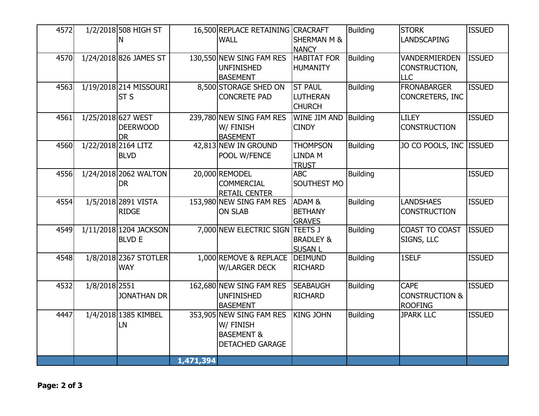| 4572 |               | 1/2/2018 508 HIGH ST   |           | 16,500 REPLACE RETAINING CRACRAFT |                        | <b>Building</b> | <b>STORK</b>              | <b>ISSUED</b> |
|------|---------------|------------------------|-----------|-----------------------------------|------------------------|-----------------|---------------------------|---------------|
|      |               | N                      |           | <b>WALL</b>                       | <b>SHERMAN M &amp;</b> |                 | <b>LANDSCAPING</b>        |               |
|      |               |                        |           |                                   | <b>NANCY</b>           |                 |                           |               |
| 4570 |               | 1/24/2018 826 JAMES ST |           | 130,550 NEW SING FAM RES          | <b>HABITAT FOR</b>     | <b>Building</b> | <b>VANDERMIERDEN</b>      | <b>ISSUED</b> |
|      |               |                        |           | <b>UNFINISHED</b>                 | <b>HUMANITY</b>        |                 | CONSTRUCTION,             |               |
|      |               |                        |           | <b>BASEMENT</b>                   |                        |                 | <b>LLC</b>                |               |
| 4563 |               | 1/19/2018 214 MISSOURI |           | 8,500 STORAGE SHED ON             | <b>ST PAUL</b>         | <b>Building</b> | <b>FRONABARGER</b>        | <b>ISSUED</b> |
|      |               | ST <sub>S</sub>        |           | <b>CONCRETE PAD</b>               | <b>LUTHERAN</b>        |                 | CONCRETERS, INC           |               |
|      |               |                        |           |                                   | <b>CHURCH</b>          |                 |                           |               |
| 4561 |               | 1/25/2018 627 WEST     |           | 239,780 NEW SING FAM RES          | WINE JIM AND           | <b>Building</b> | <b>LILEY</b>              | <b>ISSUED</b> |
|      |               | <b>DEERWOOD</b>        |           | W/ FINISH                         | <b>CINDY</b>           |                 | <b>CONSTRUCTION</b>       |               |
|      |               | <b>DR</b>              |           | <b>BASEMENT</b>                   |                        |                 |                           |               |
| 4560 |               | 1/22/2018 2164 LITZ    |           | 42,813 NEW IN GROUND              | <b>THOMPSON</b>        | <b>Building</b> | JO CO POOLS, INC ISSUED   |               |
|      |               | <b>BLVD</b>            |           | POOL W/FENCE                      | <b>LINDA M</b>         |                 |                           |               |
|      |               |                        |           |                                   | <b>TRUST</b>           |                 |                           |               |
| 4556 |               | 1/24/2018 2062 WALTON  |           | 20,000 REMODEL                    | <b>ABC</b>             | <b>Building</b> |                           | <b>ISSUED</b> |
|      |               | <b>DR</b>              |           | <b>COMMERCIAL</b>                 | SOUTHEST MO            |                 |                           |               |
|      |               |                        |           | <b>RETAIL CENTER</b>              |                        |                 |                           |               |
| 4554 |               | 1/5/2018 2891 VISTA    |           | 153,980 NEW SING FAM RES          | ADAM <sub>&amp;</sub>  | <b>Building</b> | <b>LANDSHAES</b>          | <b>ISSUED</b> |
|      |               | <b>RIDGE</b>           |           | <b>ON SLAB</b>                    | <b>BETHANY</b>         |                 | <b>CONSTRUCTION</b>       |               |
|      |               |                        |           |                                   | <b>GRAVES</b>          |                 |                           |               |
| 4549 |               | 1/11/2018 1204 JACKSON |           | 7,000 NEW ELECTRIC SIGN TEETS J   |                        | <b>Building</b> | COAST TO COAST            | <b>ISSUED</b> |
|      |               | <b>BLVD E</b>          |           |                                   | <b>BRADLEY &amp;</b>   |                 | SIGNS, LLC                |               |
|      |               |                        |           |                                   | <b>SUSAN L</b>         |                 |                           |               |
| 4548 |               | 1/8/2018 2367 STOTLER  |           | 1,000 REMOVE & REPLACE            | <b>DEIMUND</b>         | <b>Building</b> | 1SELF                     | <b>ISSUED</b> |
|      |               | <b>WAY</b>             |           | <b>W/LARGER DECK</b>              | <b>RICHARD</b>         |                 |                           |               |
|      |               |                        |           |                                   |                        |                 |                           |               |
| 4532 | 1/8/2018 2551 |                        |           | 162,680 NEW SING FAM RES          | <b>SEABAUGH</b>        | <b>Building</b> | <b>CAPE</b>               | <b>ISSUED</b> |
|      |               | <b>JONATHAN DR</b>     |           | <b>UNFINISHED</b>                 | <b>RICHARD</b>         |                 | <b>CONSTRUCTION &amp;</b> |               |
|      |               |                        |           | <b>BASEMENT</b>                   |                        |                 | <b>ROOFING</b>            |               |
| 4447 |               | 1/4/2018 1385 KIMBEL   |           | 353,905 NEW SING FAM RES          | <b>KING JOHN</b>       | <b>Building</b> | <b>JPARK LLC</b>          | <b>ISSUED</b> |
|      |               | LN                     |           | W/ FINISH                         |                        |                 |                           |               |
|      |               |                        |           | <b>BASEMENT &amp;</b>             |                        |                 |                           |               |
|      |               |                        |           | <b>DETACHED GARAGE</b>            |                        |                 |                           |               |
|      |               |                        |           |                                   |                        |                 |                           |               |
|      |               |                        | 1,471,394 |                                   |                        |                 |                           |               |